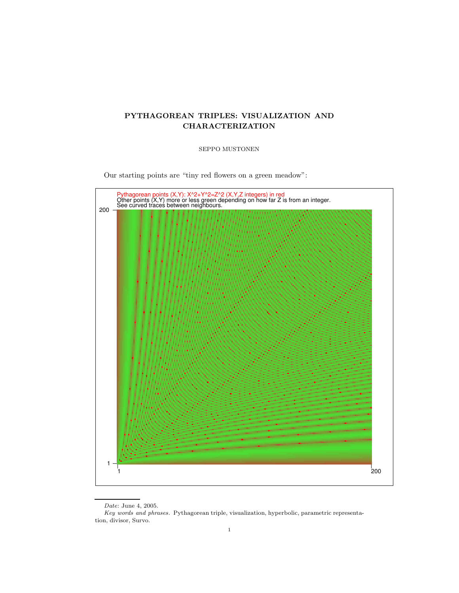# PYTHAGOREAN TRIPLES: VISUALIZATION AND CHARACTERIZATION

# SEPPO MUSTONEN

Our starting points are "tiny red flowers on a green meadow":



Date: June 4, 2005.

Key words and phrases. Pythagorean triple, visualization, hyperbolic, parametric representation, divisor, Survo.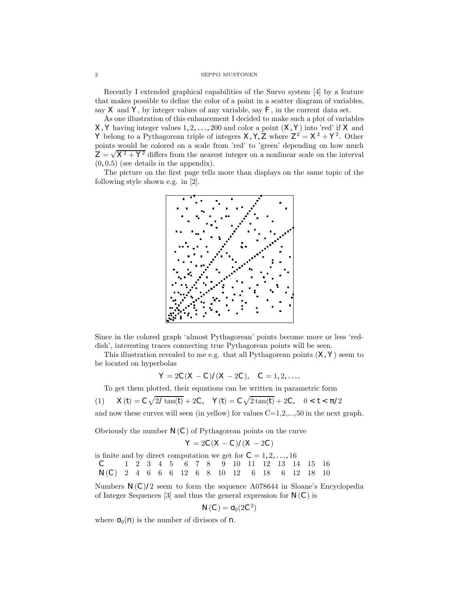# 2 SEPPO MUSTONEN

Recently I extended graphical capabilities of the Survo system [4] by a feature that makes possible to define the color of a point in a scatter diagram of variables, say  $X$  and  $Y$ , by integer values of any variable, say  $F$ , in the current data set.

As one illustration of this enhancement I decided to make such a plot of variables  $X, Y$  having integer values  $1, 2, \ldots, 200$  and color a point  $(X, Y)$  into 'red' if X and Y belong to a Pythagorean triple of integers  $\mathsf{X}, \mathsf{Y}, \mathsf{Z}$  where  $\mathsf{Z}^2 = \mathsf{X}^2 + \mathsf{Y}^2$ . Other points would be colored on a scale from 'red' to 'green' depending on how much  $Z = \sqrt{X^2 + Y^2}$  differs from the nearest integer on a nonlinear scale on the interval  $(0, 0.5)$  (see details in the appendix).

The picture on the first page tells more than displays on the same topic of the following style shown e.g. in [2].



Since in the colored graph 'almost Pythagorean' points become more or less 'reddish', interesting traces connecting true Pythagorean points will be seen.

This illustration revealed to me e.g. that all Pythagorean points  $(X, Y)$  seem to be located on hyperbolas

$$
\mathbf{Y} = 2\mathbf{C}(\mathbf{X} - \mathbf{C})/(\mathbf{X} - 2\mathbf{C}), \quad \mathbf{C} = 1, 2, \dots
$$

To get them plotted, their equations can be written in parametric form

(1) 
$$
\mathbf{X}(t) = \mathbf{C} \sqrt{2/\tan(t)} + 2\mathbf{C}, \quad \mathbf{Y}(t) = \mathbf{C} \sqrt{2 \tan(t)} + 2\mathbf{C}, \quad 0 < t < 2
$$

and now these curves will seen (in yellow) for values  $C=1,2,...,50$  in the next graph.

Obviously the number  $N(C)$  of Pythagorean points on the curve

$$
Y = 2C(X - C)/(X - 2C)
$$

is finite and by direct computation we get for  $C = 1, 2, \ldots, 16$ C 1 2 3 4 5 6 7 8 9 10 11 12 13 14 15 16 N(C) 2 4 6 6 6 12 6 8 10 12 6 18 6 12 18 10

Numbers  $N(C)/2$  seem to form the sequence A078644 in Sloane's Encyclopedia of Integer Sequences [3] and thus the general expression for  $N(C)$  is

$$
\mathbf{N}(\mathbf{C}) = -_0(2\mathbf{C}^2)
$$

where  $_0(n)$  is the number of divisors of **n**.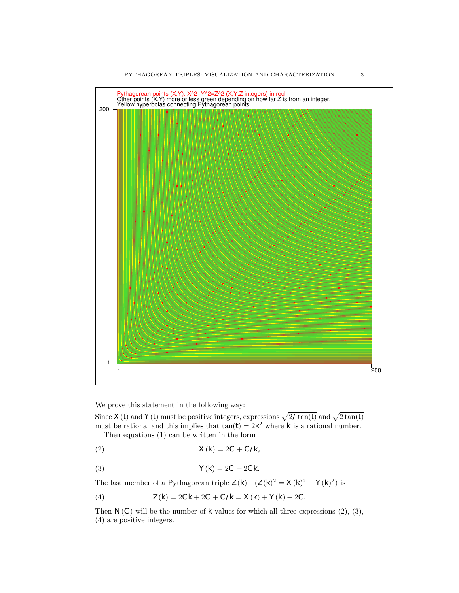

We prove this statement in the following way:

Since  $\mathsf{X}(t)$  and  $\mathsf{Y}(t)$  must be positive integers, expressions  $\sqrt{2/\tan(t)}$  and  $\sqrt{2\tan(t)}$ must be rational and this implies that  $tan(t) = 2k^2$  where k is a rational number. Then equations (1) can be written in the form

$$
\mathbf{X}(\mathbf{k}) = 2\mathbf{C} + \mathbf{C}/\mathbf{k},
$$

$$
\mathbf{Y}(\mathbf{k}) = 2\mathbf{C} + 2\mathbf{C}\mathbf{k}.
$$

The last member of a Pythagorean triple  $\mathsf{Z}(\mathsf{k})$   $(\mathsf{Z}(\mathsf{k})^2 = \mathsf{X}(\mathsf{k})^2 + \mathsf{Y}(\mathsf{k})^2)$  is

(4) 
$$
\mathbf{Z}(\mathbf{k}) = 2\mathbf{C}\mathbf{k} + 2\mathbf{C} + \mathbf{C}/\mathbf{k} = \mathbf{X}(\mathbf{k}) + \mathbf{Y}(\mathbf{k}) - 2\mathbf{C}.
$$

Then  $N(C)$  will be the number of **k**-values for which all three expressions  $(2)$ ,  $(3)$ , (4) are positive integers.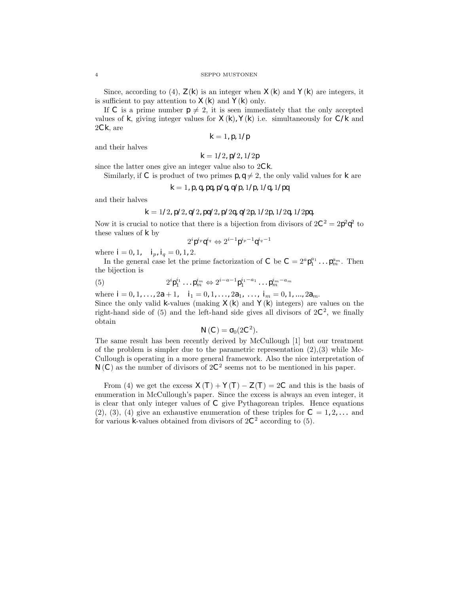Since, according to (4),  $\mathsf{Z}(\mathsf{k})$  is an integer when  $\mathsf{X}(\mathsf{k})$  and  $\mathsf{Y}(\mathsf{k})$  are integers, it is sufficient to pay attention to  $\mathsf{X}(\mathsf{k})$  and  $\mathsf{Y}(\mathsf{k})$  only.

If C is a prime number  $p \neq 2$ , it is seen immediately that the only accepted values of k, giving integer values for  $X(k)$ ,  $Y(k)$  i.e. simultaneously for  $C/k$  and  $2Ck$ , are

 $k = 1, p, 1/p$ 

and their halves

$$
\mathbf{k}=1/2,\mathbf{p}/2,1/2\mathbf{p}
$$

since the latter ones give an integer value also to 2Ck.

Similarly, if C is product of two primes  $p, q \neq 2$ , the only valid values for k are

$$
k = 1
$$
, p, q, pq, p/q, q/p,  $1/p$ ,  $1/q$ ,  $1/pq$ 

and their halves

$$
k = 1/2, p/2, q/2, pq/2, p/2q, q/2p, 1/2p, 1/2q, 1/2pq.
$$

Now it is crucial to notice that there is a bijection from divisors of  $2\mathbf{C}^2 = 2\mathbf{p}^2\mathbf{q}^2$  to these values of k by

$$
2^i\mathbf{p}^{i_p}\mathbf{q}^{i_q} \Leftrightarrow 2^{i-1}\mathbf{p}^{i_p-1}\mathbf{q}^{i_q-1}
$$

where  $\mathbf{i} = 0, 1, \quad \mathbf{i}_p, \mathbf{i}_q = 0, 1, 2.$ 

In the general case let the prime factorization of **C** be  $C = 2^a \mathbf{p}_1^{a_1} \dots \mathbf{p}_m^{a_m}$ . Then the bijection is

(5) 
$$
2^i \mathbf{p}_1^{i_1} \dots \mathbf{p}_m^{i_m} \Leftrightarrow 2^{i-a-1} \mathbf{p}_1^{i_1-a_1} \dots \mathbf{p}_m^{i_m-a_m}
$$

where  $\mathbf{i} = 0, 1, \dots, 2\mathbf{a} + 1$ ,  $\mathbf{i}_1 = 0, 1, \dots, 2\mathbf{a}_1, \dots, \mathbf{i}_m = 0, 1, \dots, 2\mathbf{a}_m$ . Since the only valid **k**-values (making  $X(k)$  and  $Y(k)$  integers) are values on the right-hand side of  $(5)$  and the left-hand side gives all divisors of  $2C^2$ , we finally obtain

$$
\mathbf{N}(\mathbf{C}) = 0.2\mathbf{C}^2
$$

The same result has been recently derived by McCullough [1] but our treatment of the problem is simpler due to the parametric representation  $(2),(3)$  while Mc-Cullough is operating in a more general framework. Also the nice interpretation of  $N(C)$  as the number of divisors of  $2C^2$  seems not to be mentioned in his paper.

From (4) we get the excess  $\mathsf{X}(\mathsf{T}) + \mathsf{Y}(\mathsf{T}) - \mathsf{Z}(\mathsf{T}) = 2\mathsf{C}$  and this is the basis of enumeration in McCullough's paper. Since the excess is always an even integer, it is clear that only integer values of C give Pythagorean triples. Hence equations  $(2), (3), (4)$  give an exhaustive enumeration of these triples for  $C = 1, 2, \ldots$  and for various **k**-values obtained from divisors of  $2C^2$  according to (5).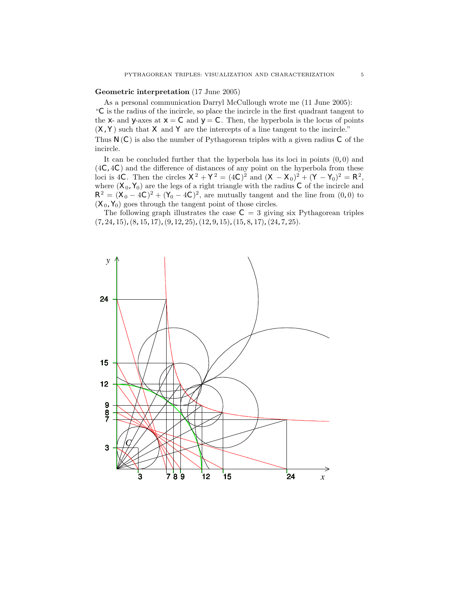### Geometric interpretation (17 June 2005)

As a personal communication Darryl McCullough wrote me (11 June 2005):

"C is the radius of the incircle, so place the incircle in the first quadrant tangent to the **x**- and **y**-axes at  $\mathbf{x} = \mathbf{C}$  and  $\mathbf{y} = \mathbf{C}$ . Then, the hyperbola is the locus of points  $(X, Y)$  such that X and Y are the intercepts of a line tangent to the incircle."

Thus  $N(C)$  is also the number of Pythagorean triples with a given radius C of the incircle.

It can be concluded further that the hyperbola has its loci in points  $(0, 0)$  and (4C, 4C) and the difference of distances of any point on the hyperbola from these loci is 4C. Then the circles  $X^2 + Y^2 = (4C)^2$  and  $(X - X_0)^2 + (Y - Y_0)^2 = R^2$ , where  $(\mathsf{X}_0, \mathsf{Y}_0)$  are the legs of a right triangle with the radius **C** of the incircle and  $R^2 = (X_0 - 4C)^2 + (Y_0 - 4C)^2$ , are mutually tangent and the line from  $(0, 0)$  to  $(\mathsf{X}_0, \mathsf{Y}_0)$  goes through the tangent point of those circles.

The following graph illustrates the case  $C = 3$  giving six Pythagorean triples  $(7, 24, 15)$ ,  $(8, 15, 17)$ ,  $(9, 12, 25)$ ,  $(12, 9, 15)$ ,  $(15, 8, 17)$ ,  $(24, 7, 25)$ .

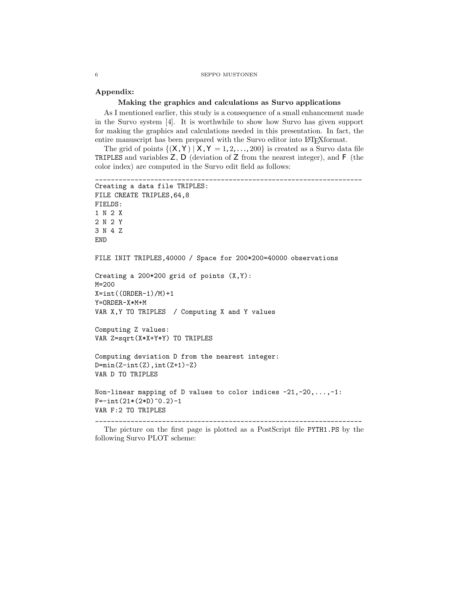#### 6 SEPPO MUSTONEN

### Appendix:

# Making the graphics and calculations as Survo applications

As I mentioned earlier, this study is a consequence of a small enhancement made in the Survo system [4]. It is worthwhile to show how Survo has given support for making the graphics and calculations needed in this presentation. In fact, the entire manuscript has been prepared with the Survo editor into LAT<sub>E</sub>Xformat.

The grid of points  $\{(\mathbf{X}, \mathbf{Y}) | \mathbf{X}, \mathbf{Y} = 1, 2, \dots, 200\}$  is created as a Survo data file TRIPLES and variables  $Z$ ,  $D$  (deviation of  $Z$  from the nearest integer), and  $F$  (the color index) are computed in the Survo edit field as follows:

```
____________________________________________________________________
Creating a data file TRIPLES:
FILE CREATE TRIPLES,64,8
FIELDS:
1 N 2 X
2 N 2 Y
3 N 4 Z
END
FILE INIT TRIPLES,40000 / Space for 200*200=40000 observations
Creating a 200*200 grid of points (X,Y):
M=200
X=int((ORDER-1)/M)+1Y=ORDER-X*M+M
VAR X,Y TO TRIPLES / Computing X and Y values
Computing Z values:
VAR Z=sqrt(X*X+Y*Y) TO TRIPLES
Computing deviation D from the nearest integer:
D = min(Z-int(Z), int(Z+1)-Z)VAR D TO TRIPLES
Non-linear mapping of D values to color indices -21, -20, \ldots, -1:
F=-int(21*(2*D)^0.2)-1VAR F:2 TO TRIPLES
```
\_\_\_\_\_\_\_\_\_\_\_\_\_\_\_\_\_\_\_\_\_\_\_\_\_\_\_\_\_\_\_\_\_\_\_\_\_\_\_\_\_\_\_\_\_\_\_\_\_\_\_\_\_\_\_\_\_\_\_\_\_\_\_\_\_\_\_\_

The picture on the first page is plotted as a PostScript file PYTH1.PS by the following Survo PLOT scheme: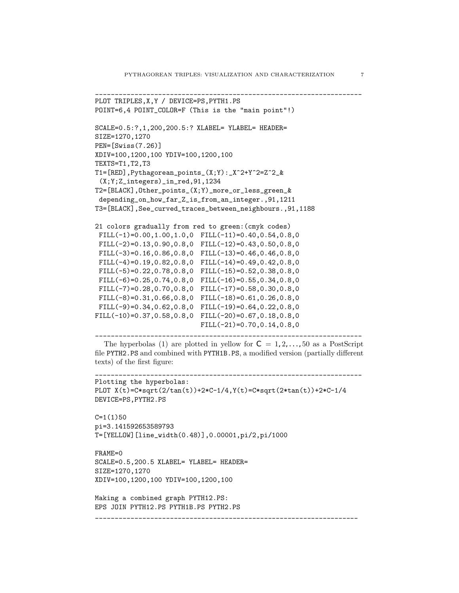```
____________________________________________________________________
PLOT TRIPLES, X, Y / DEVICE=PS, PYTH1.PS
POINT=6,4 POINT_COLOR=F (This is the "main point"!)
SCALE=0.5:?,1,200,200.5:? XLABEL= YLABEL= HEADER=
SIZE=1270,1270
PEN=[Swiss(7.26)]
XDIV=100,1200,100 YDIV=100,1200,100
TEXTS=T1,T2,T3
T1=[RED],Pythagorean_points_(X;Y):_X^2+Y^2=Z^2_&
 (X;Y;Z_integers)_in_red,91,1234
T2=[BLACK],Other_points_(X;Y)_more_or_less_green_&
 depending_on_how_far_Z_is_from_an_integer.,91,1211
T3=[BLACK],See_curved_traces_between_neighbours.,91,1188
21 colors gradually from red to green:(cmyk codes)
 FILL(-1)=0.00, 1.00, 1.0, 0 FILL(-11)=0.40, 0.54, 0.8, 0FILL(-2)=0.13, 0.90, 0.8, 0 FILL(-12)=0.43, 0.50, 0.8, 0FILL(-3)=0.16, 0.86, 0.8, 0 FILL(-13)=0.46, 0.46, 0.8, 0FILL(-4) = 0.19, 0.82, 0.8, 0 FILL(-14) = 0.49, 0.42, 0.8, 0FILL(-5)=0.22,0.78,0.8,0 FILL(-15)=0.52,0.38,0.8,0
 FILL(-6)=0.25,0.74,0.8,0 FILL(-16)=0.55,0.34,0.8,0
 FILL(-7)=0.28,0.70,0.8,0 FILL(-17)=0.58,0.30,0.8,0
 FILL(-8) = 0.31, 0.66, 0.8, 0 FILL(-18) = 0.61, 0.26, 0.8, 0FILL(-9)=0.34,0.62,0.8,0 FILL(-19)=0.64,0.22,0.8,0
FILL(-10)=0.37,0.58,0.8,0 FILL(-20)=0.67,0.18,0.8,0
                           FILL(-21)=0.70, 0.14, 0.8, 0
```

```
The hyperbolas (1) are plotted in yellow for C = 1, 2, \ldots, 50 as a PostScript
file PYTH2.PS and combined with PYTH1B.PS, a modified version (partially different
texts) of the first figure:
```
\_\_\_\_\_\_\_\_\_\_\_\_\_\_\_\_\_\_\_\_\_\_\_\_\_\_\_\_\_\_\_\_\_\_\_\_\_\_\_\_\_\_\_\_\_\_\_\_\_\_\_\_\_\_\_\_\_\_\_\_\_\_\_\_\_\_\_\_

```
____________________________________________________________________
Plotting the hyperbolas:
PLOT X(t)=C*sqrt(2/tan(t))+2*C-1/4,Y(t)=C*sqrt(2*tan(t))+2*C-1/4
DEVICE=PS,PYTH2.PS
```
\_\_\_\_\_\_\_\_\_\_\_\_\_\_\_\_\_\_\_\_\_\_\_\_\_\_\_\_\_\_\_\_\_\_\_\_\_\_\_\_\_\_\_\_\_\_\_\_\_\_\_\_\_\_\_\_\_\_\_\_\_\_\_\_\_\_\_

```
C=1(1)50pi=3.141592653589793
T=[YELLOW][line_width(0.48)],0.00001,pi/2,pi/1000
```

```
FRAME=0
SCALE=0.5,200.5 XLABEL= YLABEL= HEADER=
SIZE=1270,1270
XDIV=100,1200,100 YDIV=100,1200,100
```
Making a combined graph PYTH12.PS: EPS JOIN PYTH12.PS PYTH1B.PS PYTH2.PS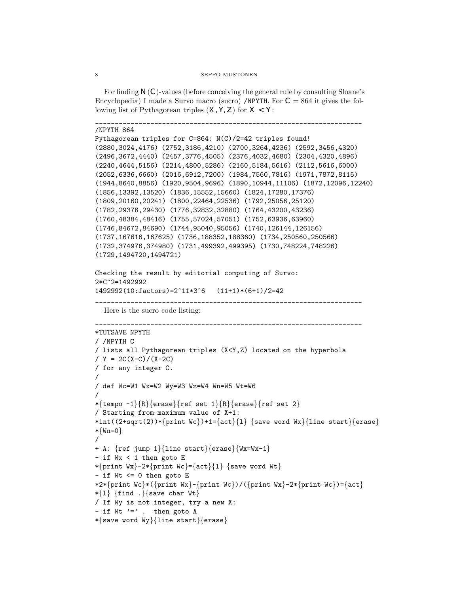#### 8 SEPPO MUSTONEN

For finding  $N(C)$ -values (before conceiving the general rule by consulting Sloane's Encyclopedia) I made a Survo macro (sucro) /NPYTH. For  $C = 864$  it gives the following list of Pythagorean triples  $(X, Y, Z)$  for  $X < Y$ :

\_\_\_\_\_\_\_\_\_\_\_\_\_\_\_\_\_\_\_\_\_\_\_\_\_\_\_\_\_\_\_\_\_\_\_\_\_\_\_\_\_\_\_\_\_\_\_\_\_\_\_\_\_\_\_\_\_\_\_\_\_\_\_\_\_\_\_\_

```
/NPYTH 864
```

```
Pythagorean triples for C=864: N(C)/2=42 triples found!
(2880,3024,4176) (2752,3186,4210) (2700,3264,4236) (2592,3456,4320)
(2496,3672,4440) (2457,3776,4505) (2376,4032,4680) (2304,4320,4896)
(2240,4644,5156) (2214,4800,5286) (2160,5184,5616) (2112,5616,6000)
(2052,6336,6660) (2016,6912,7200) (1984,7560,7816) (1971,7872,8115)
(1944,8640,8856) (1920,9504,9696) (1890,10944,11106) (1872,12096,12240)
(1856,13392,13520) (1836,15552,15660) (1824,17280,17376)
(1809,20160,20241) (1800,22464,22536) (1792,25056,25120)
(1782,29376,29430) (1776,32832,32880) (1764,43200,43236)
(1760,48384,48416) (1755,57024,57051) (1752,63936,63960)
(1746,84672,84690) (1744,95040,95056) (1740,126144,126156)
(1737,167616,167625) (1736,188352,188360) (1734,250560,250566)
(1732,374976,374980) (1731,499392,499395) (1730,748224,748226)
(1729,1494720,1494721)
```

```
Checking the result by editorial computing of Survo:
2*C^2=1492992
1492992(10:factors)=2^11*3^6 (11+1)*(6+1)/2=42
```
\_\_\_\_\_\_\_\_\_\_\_\_\_\_\_\_\_\_\_\_\_\_\_\_\_\_\_\_\_\_\_\_\_\_\_\_\_\_\_\_\_\_\_\_\_\_\_\_\_\_\_\_\_\_\_\_\_\_\_\_\_\_\_\_\_\_\_\_

Here is the sucro code listing:

\_\_\_\_\_\_\_\_\_\_\_\_\_\_\_\_\_\_\_\_\_\_\_\_\_\_\_\_\_\_\_\_\_\_\_\_\_\_\_\_\_\_\_\_\_\_\_\_\_\_\_\_\_\_\_\_\_\_\_\_\_\_\_\_\_\_\_\_

```
*TUTSAVE NPYTH
/ /NPYTH C
/ lists all Pythagorean triples (X<Y,Z) located on the hyperbola
/ Y = 2C(X-C)/(X-ZC)/ for any integer C.
/
/ def Wc=W1 Wx=W2 Wy=W3 Wz=W4 Wn=W5 Wt=W6
/
*\{tempo -1\}{R}{erase}{ref set 1}{R}{erase}{ref set 2}
/ Starting from maximum value of X+1:
*int((2+sqrt(2))*{print Wc})+1={act}{1} {save word Wx}{line start}{erase}
*{Wn=0}
/
+ A: {ref jump 1}{line start}{erase}{Wx=Wx-1}
- if Wx < 1 then goto E
*{print Wx}-2*{print Wc}={act}{1} {save word Wt}
- if Wt <= 0 then goto E
*2*{print Wc}*({print Wx}-{print Wc})/({print Wx}-2*{print Wc})={act}
*\{1\} {find .} {save char Wt}
/ If Wy is not integer, try a new X:
- if Wt '=' . then goto A
*{save word Wy}{line start}{erase}
```